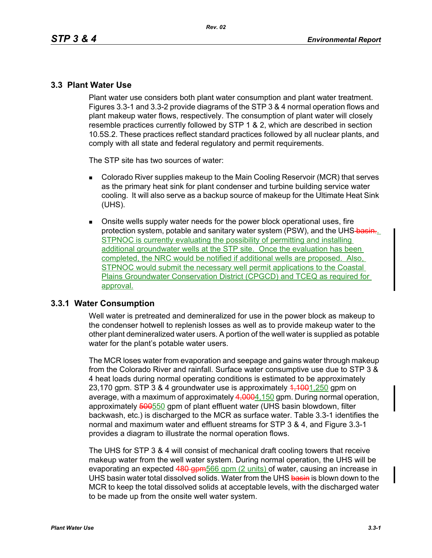## **3.3 Plant Water Use**

Plant water use considers both plant water consumption and plant water treatment. Figures 3.3-1 and 3.3-2 provide diagrams of the STP 3 & 4 normal operation flows and plant makeup water flows, respectively. The consumption of plant water will closely resemble practices currently followed by STP 1 & 2, which are described in section 10.5S.2. These practices reflect standard practices followed by all nuclear plants, and comply with all state and federal regulatory and permit requirements.

The STP site has two sources of water:

- **Colorado River supplies makeup to the Main Cooling Reservoir (MCR) that serves** as the primary heat sink for plant condenser and turbine building service water cooling. It will also serve as a backup source of makeup for the Ultimate Heat Sink (UHS).
- Onsite wells supply water needs for the power block operational uses, fire protection system, potable and sanitary water system (PSW), and the UHS-basin... STPNOC is currently evaluating the possibility of permitting and installing additional groundwater wells at the STP site. Once the evaluation has been completed, the NRC would be notified if additional wells are proposed. Also, STPNOC would submit the necessary well permit applications to the Coastal Plains Groundwater Conservation District (CPGCD) and TCEQ as required for approval.

### **3.3.1 Water Consumption**

Well water is pretreated and demineralized for use in the power block as makeup to the condenser hotwell to replenish losses as well as to provide makeup water to the other plant demineralized water users. A portion of the well water is supplied as potable water for the plant's potable water users.

The MCR loses water from evaporation and seepage and gains water through makeup from the Colorado River and rainfall. Surface water consumptive use due to STP 3 & 4 heat loads during normal operating conditions is estimated to be approximately 23,170 gpm. STP 3 & 4 groundwater use is approximately  $4,1001,250$  gpm on average, with a maximum of approximately 4,0004,150 gpm. During normal operation, approximately 500550 gpm of plant effluent water (UHS basin blowdown, filter backwash, etc.) is discharged to the MCR as surface water. Table 3.3-1 identifies the normal and maximum water and effluent streams for STP 3 & 4, and Figure 3.3-1 provides a diagram to illustrate the normal operation flows.

The UHS for STP 3 & 4 will consist of mechanical draft cooling towers that receive makeup water from the well water system. During normal operation, the UHS will be evaporating an expected 480 gpm566 gpm (2 units) of water, causing an increase in UHS basin water total dissolved solids. Water from the UHS basin is blown down to the MCR to keep the total dissolved solids at acceptable levels, with the discharged water to be made up from the onsite well water system.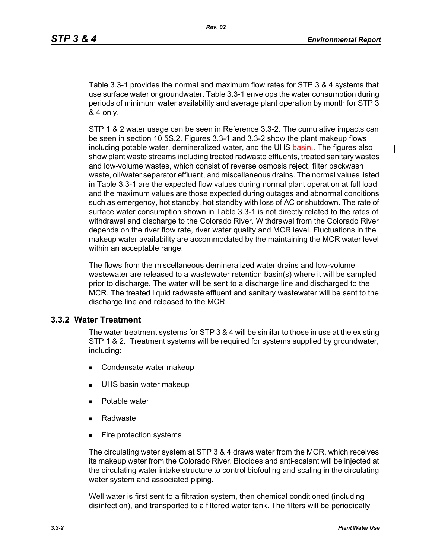$\blacksquare$ 

Table 3.3-1 provides the normal and maximum flow rates for STP 3 & 4 systems that use surface water or groundwater. Table 3.3-1 envelops the water consumption during periods of minimum water availability and average plant operation by month for STP 3 & 4 only.

STP 1 & 2 water usage can be seen in Reference 3.3-2. The cumulative impacts can be seen in section 10.5S.2. Figures 3.3-1 and 3.3-2 show the plant makeup flows including potable water, demineralized water, and the UHS-basin.. The figures also show plant waste streams including treated radwaste effluents, treated sanitary wastes and low-volume wastes, which consist of reverse osmosis reject, filter backwash waste, oil/water separator effluent, and miscellaneous drains. The normal values listed in Table 3.3-1 are the expected flow values during normal plant operation at full load and the maximum values are those expected during outages and abnormal conditions such as emergency, hot standby, hot standby with loss of AC or shutdown. The rate of surface water consumption shown in Table 3.3-1 is not directly related to the rates of withdrawal and discharge to the Colorado River. Withdrawal from the Colorado River depends on the river flow rate, river water quality and MCR level. Fluctuations in the makeup water availability are accommodated by the maintaining the MCR water level within an acceptable range.

The flows from the miscellaneous demineralized water drains and low-volume wastewater are released to a wastewater retention basin(s) where it will be sampled prior to discharge. The water will be sent to a discharge line and discharged to the MCR. The treated liquid radwaste effluent and sanitary wastewater will be sent to the discharge line and released to the MCR.

### **3.3.2 Water Treatment**

The water treatment systems for STP 3 & 4 will be similar to those in use at the existing STP 1 & 2. Treatment systems will be required for systems supplied by groundwater, including:

- Condensate water makeup
- **UHS basin water makeup**
- **Potable water**
- Radwaste
- **Fire protection systems**

The circulating water system at STP 3 & 4 draws water from the MCR, which receives its makeup water from the Colorado River. Biocides and anti-scalant will be injected at the circulating water intake structure to control biofouling and scaling in the circulating water system and associated piping.

Well water is first sent to a filtration system, then chemical conditioned (including disinfection), and transported to a filtered water tank. The filters will be periodically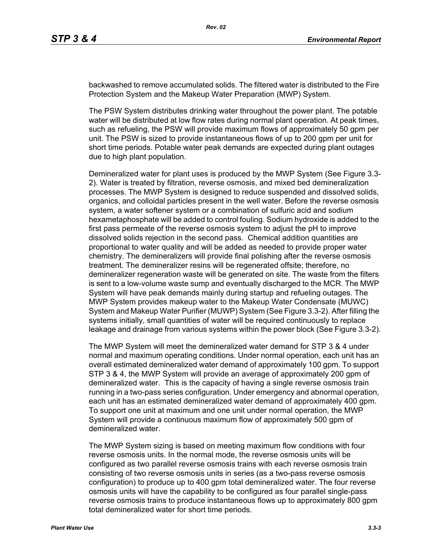backwashed to remove accumulated solids. The filtered water is distributed to the Fire Protection System and the Makeup Water Preparation (MWP) System.

The PSW System distributes drinking water throughout the power plant. The potable water will be distributed at low flow rates during normal plant operation. At peak times, such as refueling, the PSW will provide maximum flows of approximately 50 gpm per unit. The PSW is sized to provide instantaneous flows of up to 200 gpm per unit for short time periods. Potable water peak demands are expected during plant outages due to high plant population.

Demineralized water for plant uses is produced by the MWP System (See Figure 3.3- 2). Water is treated by filtration, reverse osmosis, and mixed bed demineralization processes. The MWP System is designed to reduce suspended and dissolved solids, organics, and colloidal particles present in the well water. Before the reverse osmosis system, a water softener system or a combination of sulfuric acid and sodium hexametaphosphate will be added to control fouling. Sodium hydroxide is added to the first pass permeate of the reverse osmosis system to adjust the pH to improve dissolved solids rejection in the second pass. Chemical addition quantities are proportional to water quality and will be added as needed to provide proper water chemistry. The demineralizers will provide final polishing after the reverse osmosis treatment. The demineralizer resins will be regenerated offsite; therefore, no demineralizer regeneration waste will be generated on site. The waste from the filters is sent to a low-volume waste sump and eventually discharged to the MCR. The MWP System will have peak demands mainly during startup and refueling outages. The MWP System provides makeup water to the Makeup Water Condensate (MUWC) System and Makeup Water Purifier (MUWP) System (See Figure 3.3-2). After filling the systems initially, small quantities of water will be required continuously to replace leakage and drainage from various systems within the power block (See Figure 3.3-2).

The MWP System will meet the demineralized water demand for STP 3 & 4 under normal and maximum operating conditions. Under normal operation, each unit has an overall estimated demineralized water demand of approximately 100 gpm. To support STP 3 & 4, the MWP System will provide an average of approximately 200 gpm of demineralized water. This is the capacity of having a single reverse osmosis train running in a two-pass series configuration. Under emergency and abnormal operation, each unit has an estimated demineralized water demand of approximately 400 gpm. To support one unit at maximum and one unit under normal operation, the MWP System will provide a continuous maximum flow of approximately 500 gpm of demineralized water.

The MWP System sizing is based on meeting maximum flow conditions with four reverse osmosis units. In the normal mode, the reverse osmosis units will be configured as two parallel reverse osmosis trains with each reverse osmosis train consisting of two reverse osmosis units in series (as a two-pass reverse osmosis configuration) to produce up to 400 gpm total demineralized water. The four reverse osmosis units will have the capability to be configured as four parallel single-pass reverse osmosis trains to produce instantaneous flows up to approximately 800 gpm total demineralized water for short time periods.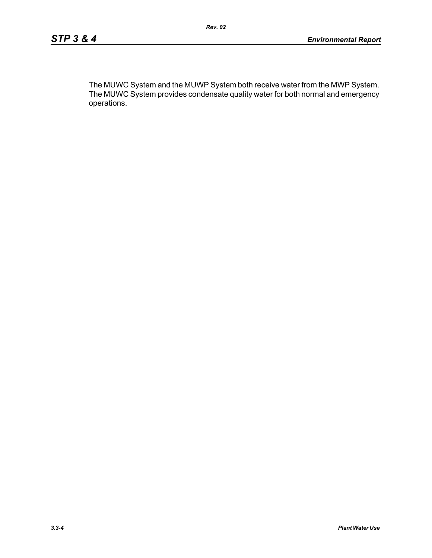The MUWC System and the MUWP System both receive water from the MWP System. The MUWC System provides condensate quality water for both normal and emergency operations.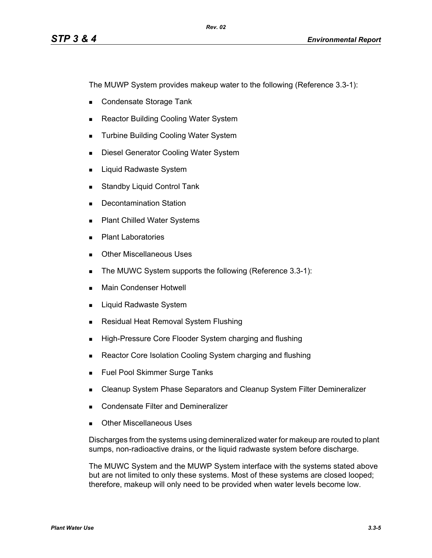The MUWP System provides makeup water to the following (Reference 3.3-1):

- Condensate Storage Tank
- Reactor Building Cooling Water System
- **Turbine Building Cooling Water System**
- **Diesel Generator Cooling Water System**
- **Liquid Radwaste System**
- **Standby Liquid Control Tank**
- Decontamination Station
- **Plant Chilled Water Systems**
- **Plant Laboratories**
- **Dubber Miscellaneous Uses**
- The MUWC System supports the following (Reference 3.3-1):
- **Main Condenser Hotwell**
- **Liquid Radwaste System**
- **Residual Heat Removal System Flushing**
- **High-Pressure Core Flooder System charging and flushing**
- Reactor Core Isolation Cooling System charging and flushing
- **Fuel Pool Skimmer Surge Tanks**
- **EXEC** Cleanup System Phase Separators and Cleanup System Filter Demineralizer
- **Condensate Filter and Demineralizer**
- Other Miscellaneous Uses

Discharges from the systems using demineralized water for makeup are routed to plant sumps, non-radioactive drains, or the liquid radwaste system before discharge.

The MUWC System and the MUWP System interface with the systems stated above but are not limited to only these systems. Most of these systems are closed looped; therefore, makeup will only need to be provided when water levels become low.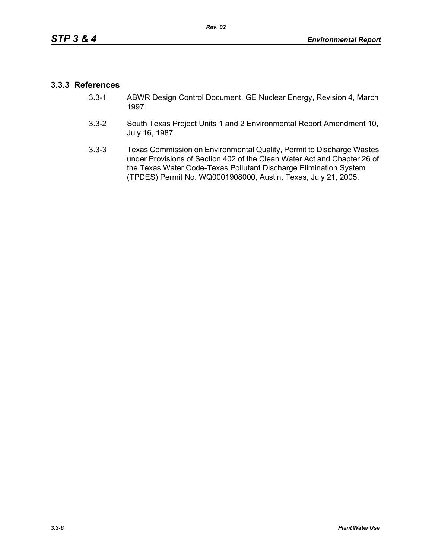## **3.3.3 References**

- 3.3-1 ABWR Design Control Document, GE Nuclear Energy, Revision 4, March 1997.
- 3.3-2 South Texas Project Units 1 and 2 Environmental Report Amendment 10, July 16, 1987.
- 3.3-3 Texas Commission on Environmental Quality, Permit to Discharge Wastes under Provisions of Section 402 of the Clean Water Act and Chapter 26 of the Texas Water Code-Texas Pollutant Discharge Elimination System (TPDES) Permit No. WQ0001908000, Austin, Texas, July 21, 2005.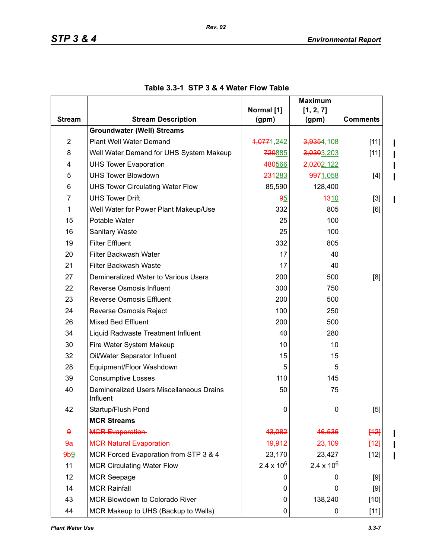$\mathbf{I}$  $\mathbf I$ 

 $\blacksquare$ 

|                        |                                                      | Normal [1]        | <b>Maximum</b>      |                 |
|------------------------|------------------------------------------------------|-------------------|---------------------|-----------------|
| <b>Stream</b>          | <b>Stream Description</b>                            | (gpm)             | [1, 2, 7]<br>(gpm)  | <b>Comments</b> |
|                        | <b>Groundwater (Well) Streams</b>                    |                   |                     |                 |
| $\overline{2}$         | Plant Well Water Demand                              | 4,0771,242        | 3,9354,108          | $[11]$          |
| 8                      | Well Water Demand for UHS System Makeup              | 720885            | 3,0303,203          | $[11]$          |
| 4                      | <b>UHS Tower Evaporation</b>                         | 480566            | 2,0202,122          |                 |
| 5                      | <b>UHS Tower Blowdown</b>                            | 234283            | 9971,058            | $[4]$           |
| 6                      | <b>UHS Tower Circulating Water Flow</b>              | 85,590            | 128,400             |                 |
| $\overline{7}$         | <b>UHS Tower Drift</b>                               | 95                | 4310                | $[3]$           |
| 1                      | Well Water for Power Plant Makeup/Use                | 332               | 805                 | [6]             |
| 15                     | Potable Water                                        | 25                | 100                 |                 |
| 16                     | Sanitary Waste                                       | 25                | 100                 |                 |
| 19                     | <b>Filter Effluent</b>                               | 332               | 805                 |                 |
| 20                     | Filter Backwash Water                                | 17                | 40                  |                 |
| 21                     | <b>Filter Backwash Waste</b>                         | 17                | 40                  |                 |
| 27                     | Demineralized Water to Various Users                 | 200               | 500<br>[8]          |                 |
| 22                     | Reverse Osmosis Influent                             | 300               | 750                 |                 |
| 23                     | <b>Reverse Osmosis Effluent</b>                      | 200               | 500                 |                 |
| 24                     | Reverse Osmosis Reject                               | 100               | 250                 |                 |
| 26                     | <b>Mixed Bed Effluent</b>                            | 200               | 500                 |                 |
| 34                     | Liquid Radwaste Treatment Influent                   | 40                | 280                 |                 |
| 30                     | Fire Water System Makeup                             | 10                | 10                  |                 |
| 32                     | Oil/Water Separator Influent                         | 15                | 15                  |                 |
| 28                     | Equipment/Floor Washdown                             | 5                 | 5                   |                 |
| 39                     | <b>Consumptive Losses</b>                            | 110               | 145                 |                 |
| 40                     | Demineralized Users Miscellaneous Drains<br>Influent | 50                | 75                  |                 |
| 42                     | Startup/Flush Pond                                   | 0                 | 0                   | [5]             |
|                        | <b>MCR Streams</b>                                   |                   |                     |                 |
| $\boldsymbol{\varrho}$ | <b>MCR Evaporation</b>                               | 43,082            | 46,536              | [12]            |
| 9a                     | <b>MGR Natural Evaporation</b>                       | 49,912            | 23,109              | [12]            |
| 9b9                    | MCR Forced Evaporation from STP 3 & 4                | 23,170            | 23,427              | $[12]$          |
| 11                     | <b>MCR Circulating Water Flow</b>                    | $2.4 \times 10^6$ | $2.4 \times 10^{6}$ |                 |
| 12                     | <b>MCR Seepage</b>                                   | 0                 | 0                   | [9]             |
| 14                     | <b>MCR Rainfall</b>                                  | 0                 | 0                   | $[9]$           |
| 43                     | MCR Blowdown to Colorado River                       | 0                 | 138,240             | $[10]$          |
| 44                     | MCR Makeup to UHS (Backup to Wells)                  | 0                 | 0                   | $[11]$          |

# **Table 3.3-1 STP 3 & 4 Water Flow Table**

 $\mathbf I$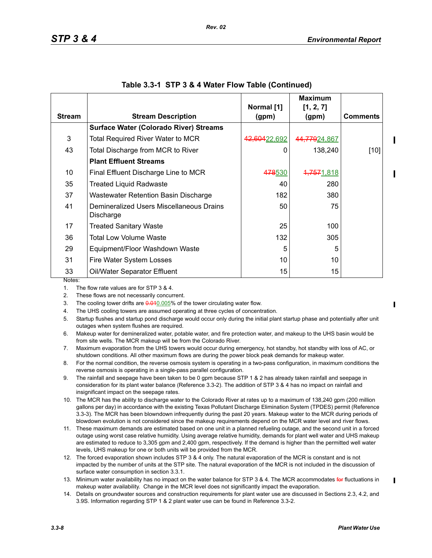|               |                                                       | Normal [1]     | <b>Maximum</b><br>[1, 2, 7] |                 |
|---------------|-------------------------------------------------------|----------------|-----------------------------|-----------------|
| <b>Stream</b> | <b>Stream Description</b>                             | (gpm)          | (gpm)                       | <b>Comments</b> |
|               | <b>Surface Water (Colorado River) Streams</b>         |                |                             |                 |
| 3             | Total Required River Water to MCR                     | 42,60422,692   | 44,77924,867                |                 |
| 43            | Total Discharge from MCR to River                     | 0              | 138,240                     | $[10]$          |
|               | <b>Plant Effluent Streams</b>                         |                |                             |                 |
| 10            | Final Effluent Discharge Line to MCR                  | <b>478</b> 530 | 4,7571,818                  |                 |
| 35            | <b>Treated Liquid Radwaste</b>                        | 40             | 280                         |                 |
| 37            | Wastewater Retention Basin Discharge                  | 182            | 380                         |                 |
| 41            | Demineralized Users Miscellaneous Drains<br>Discharge | 50             | 75                          |                 |
| 17            | Treated Sanitary Waste                                | 25             | 100                         |                 |
| 36            | Total Low Volume Waste                                | 132            | 305                         |                 |
| 29            | Equipment/Floor Washdown Waste                        | 5              | 5                           |                 |
| 31            | Fire Water System Losses                              | 10             | 10                          |                 |
| 33<br>Notes:  | Oil/Water Separator Effluent                          | 15             | 15                          |                 |

| Table 3.3-1 STP 3 & 4 Water Flow Table (Continued) |  |  |  |  |
|----------------------------------------------------|--|--|--|--|
|----------------------------------------------------|--|--|--|--|

1. The flow rate values are for STP 3 & 4.

2. These flows are not necessarily concurrent.

3. The cooling tower drifts are  $0.010000$  of the tower circulating water flow.

4. The UHS cooling towers are assumed operating at three cycles of concentration.

- 5. Startup flushes and startup pond discharge would occur only during the initial plant startup phase and potentially after unit outages when system flushes are required.
- 6. Makeup water for demineralized water, potable water, and fire protection water, and makeup to the UHS basin would be from site wells. The MCR makeup will be from the Colorado River.
- 7. Maximum evaporation from the UHS towers would occur during emergency, hot standby, hot standby with loss of AC, or shutdown conditions. All other maximum flows are during the power block peak demands for makeup water.
- 8. For the normal condition, the reverse osmosis system is operating in a two-pass configuration, in maximum conditions the reverse osmosis is operating in a single-pass parallel configuration.
- 9. The rainfall and seepage have been taken to be 0 gpm because STP 1 & 2 has already taken rainfall and seepage in consideration for its plant water balance (Reference 3.3-2). The addition of STP 3 & 4 has no impact on rainfall and insignificant impact on the seepage rates.
- 10. The MCR has the ability to discharge water to the Colorado River at rates up to a maximum of 138,240 gpm (200 million gallons per day) in accordance with the existing Texas Pollutant Discharge Elimination System (TPDES) permit (Reference 3.3-3). The MCR has been blowndown infrequently during the past 20 years. Makeup water to the MCR during periods of blowdown evolution is not considered since the makeup requirements depend on the MCR water level and river flows.
- 11. These maximum demands are estimated based on one unit in a planned refueling outage, and the second unit in a forced outage using worst case relative humidity. Using average relative humidity, demands for plant well water and UHS makeup are estimated to reduce to 3,305 gpm and 2,400 gpm, respectively. If the demand is higher than the permitted well water levels, UHS makeup for one or both units will be provided from the MCR.
- 12. The forced evaporation shown includes STP 3 & 4 only. The natural evaporation of the MCR is constant and is not impacted by the number of units at the STP site. The natural evaporation of the MCR is not included in the discussion of surface water consumption in section 3.3.1.
- 13. Minimum water availability has no impact on the water balance for STP 3 & 4. The MCR accommodates for fluctuations in makeup water availability. Change in the MCR level does not significantly impact the evaporation.
- 14. Details on groundwater sources and construction requirements for plant water use are discussed in Sections 2.3, 4.2, and 3.9S. Information regarding STP 1 & 2 plant water use can be found in Reference 3.3-2.

 $\blacksquare$ 

 $\blacksquare$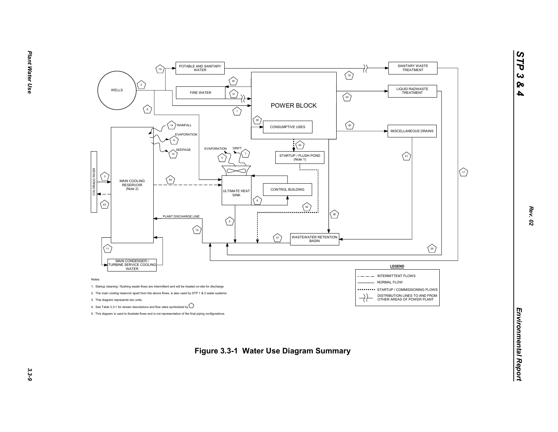

*STP 3 & 4*